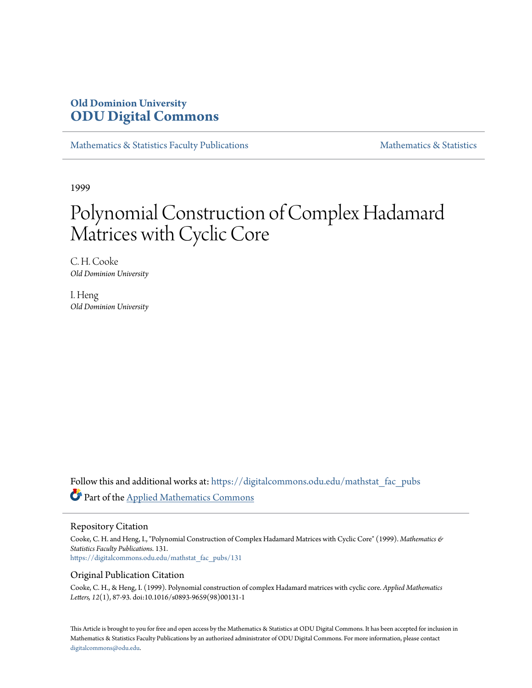## **Old Dominion University [ODU Digital Commons](https://digitalcommons.odu.edu?utm_source=digitalcommons.odu.edu%2Fmathstat_fac_pubs%2F131&utm_medium=PDF&utm_campaign=PDFCoverPages)**

[Mathematics & Statistics Faculty Publications](https://digitalcommons.odu.edu/mathstat_fac_pubs?utm_source=digitalcommons.odu.edu%2Fmathstat_fac_pubs%2F131&utm_medium=PDF&utm_campaign=PDFCoverPages) [Mathematics & Statistics](https://digitalcommons.odu.edu/mathstat?utm_source=digitalcommons.odu.edu%2Fmathstat_fac_pubs%2F131&utm_medium=PDF&utm_campaign=PDFCoverPages)

1999

# Polynomial Construction of Complex Hadamard Matrices with Cyclic Core

C. H. Cooke *Old Dominion University*

I. Heng *Old Dominion University*

Follow this and additional works at: [https://digitalcommons.odu.edu/mathstat\\_fac\\_pubs](https://digitalcommons.odu.edu/mathstat_fac_pubs?utm_source=digitalcommons.odu.edu%2Fmathstat_fac_pubs%2F131&utm_medium=PDF&utm_campaign=PDFCoverPages) Part of the [Applied Mathematics Commons](http://network.bepress.com/hgg/discipline/115?utm_source=digitalcommons.odu.edu%2Fmathstat_fac_pubs%2F131&utm_medium=PDF&utm_campaign=PDFCoverPages)

#### Repository Citation

Cooke, C. H. and Heng, I., "Polynomial Construction of Complex Hadamard Matrices with Cyclic Core" (1999). *Mathematics & Statistics Faculty Publications*. 131. [https://digitalcommons.odu.edu/mathstat\\_fac\\_pubs/131](https://digitalcommons.odu.edu/mathstat_fac_pubs/131?utm_source=digitalcommons.odu.edu%2Fmathstat_fac_pubs%2F131&utm_medium=PDF&utm_campaign=PDFCoverPages)

## Original Publication Citation

Cooke, C. H., & Heng, I. (1999). Polynomial construction of complex Hadamard matrices with cyclic core. *Applied Mathematics Letters, 12*(1), 87-93. doi:10.1016/s0893-9659(98)00131-1

This Article is brought to you for free and open access by the Mathematics & Statistics at ODU Digital Commons. It has been accepted for inclusion in Mathematics & Statistics Faculty Publications by an authorized administrator of ODU Digital Commons. For more information, please contact [digitalcommons@odu.edu.](mailto:digitalcommons@odu.edu)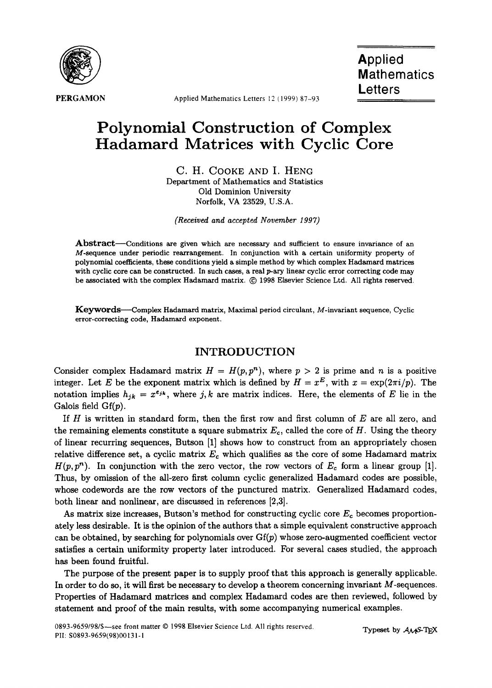

PERGAMON Applied Mathematics Letters 12 (1999) 87-93

## **Polynomial Construction of Complex Hadamard Matrices with Cyclic Core**

C. H. COOKE AND I. HENG Department of Mathematics and Statistics Old Dominion University Norfolk, VA 23529, U.S.A.

*(Received and accepted November 1997)* 

Abstract—Conditions are given which are necessary and sufficient to ensure invariance of an M-sequence under periodic rearrangement. In conjunction with a certain uniformity property of polynomial coefficients, these conditions yield a simple method by which complex Hadamard matrices with cyclic core can be constructed. In such cases, a real p-ary linear cyclic error correcting code may be associated with the complex Hadamard matrix. © 1998 Elsevier Science Ltd. All rights reserved.

Keywords--Complex Hadamard matrix, Maximal period circulant, M-invariant sequence, Cyclic error-correcting code, Hadamard exponent.

## **INTRODUCTION**

Consider complex Hadamard matrix  $H = H(p, p^n)$ , where  $p > 2$  is prime and n is a positive integer. Let E be the exponent matrix which is defined by  $H = x^E$ , with  $x = \exp(2\pi i/p)$ . The notation implies  $h_{jk} = x^{e_{jk}}$ , where j, k are matrix indices. Here, the elements of E lie in the Galois field  $Gf(p)$ .

If  $H$  is written in standard form, then the first row and first column of  $E$  are all zero, and the remaining elements constitute a square submatrix  $E_c$ , called the core of H. Using the theory of linear recurring sequences, Butson [1] shows how to construct from an appropriately chosen relative difference set, a cyclic matrix  $E_c$  which qualifies as the core of some Hadamard matrix  $H(p, p^n)$ . In conjunction with the zero vector, the row vectors of  $E_c$  form a linear group [1]. Thus, by omission of the all-zero first column cyclic generalized Hadamard codes are possible, whose codewords are the row vectors of the punctured matrix. Generalized Hadamard codes, both linear and nonlinear, are discussed in references [2,3].

As matrix size increases, Butson's method for constructing cyclic core  $E_c$  becomes proportionately less desirable. It is the opinion of the authors that a simple equivalent constructive approach can be obtained, by searching for polynomials over  $G_f(p)$  whose zero-augmented coefficient vector satisfies a certain uniformity property later introduced. For several cases studied, the approach has been found fruitful.

The purpose of the present paper is to supply proof that this approach is generally applicable. In order to do so, it will first be necessary to develop a theorem concerning invariant M-sequences. Properties of Hadamard matrices and complex Hadamard codes are then reviewed, followed by statement and proof of the main results, with some accompanying numerical examples.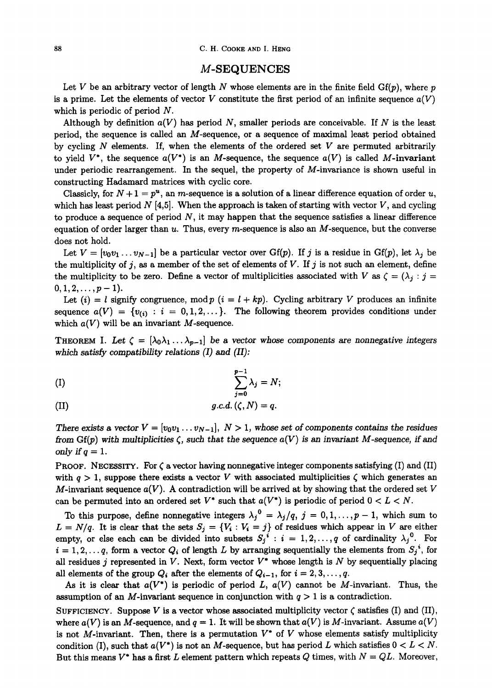#### M-SEQUENCES

Let V be an arbitrary vector of length N whose elements are in the finite field  $Gf(p)$ , where p is a prime. Let the elements of vector V constitute the first period of an infinite sequence  $a(V)$ which is periodic of period  $N$ .

Although by definition  $a(V)$  has period N, smaller periods are conceivable. If N is the least period, the sequence is called an M-sequence, or a sequence of maximal least period obtained by cycling  $N$  elements. If, when the elements of the ordered set  $V$  are permuted arbitrarily to yield  $V^*$ , the sequence  $a(V^*)$  is an M-sequence, the sequence  $a(V)$  is called M-invariant under periodic rearrangement. In the sequel, the property of M-invariance is shown useful in constructing Hadamard matrices with cyclic core.

Classicly, for  $N + 1 = p^u$ , an *m*-sequence is a solution of a linear difference equation of order u, which has least period  $N$  [4,5]. When the approach is taken of starting with vector  $V$ , and cycling to produce a sequence of period  $N$ , it may happen that the sequence satisfies a linear difference equation of order larger than  $u$ . Thus, every m-sequence is also an M-sequence, but the converse does not hold.

Let  $V = [v_0v_1 \ldots v_{N-1}]$  be a particular vector over Gf(p). If j is a residue in Gf(p), let  $\lambda_j$  be the multiplicity of j, as a member of the set of elements of V. If j is not such an element, define the multiplicity to be zero. Define a vector of multiplicities associated with V as  $\zeta = (\lambda_i : j =$  $0, 1, 2, \ldots, p-1$ .

Let  $(i) = l$  signify congruence, mod  $p$   $(i = l + kp)$ . Cycling arbitrary V produces an infinite sequence  $a(V) = \{v_{(i)} : i = 0, 1, 2, \ldots\}$ . The following theorem provides conditions under which  $a(V)$  will be an invariant M-sequence.

THEOREM I. Let  $\zeta = [\lambda_0 \lambda_1 \ldots \lambda_{p-1}]$  be a vector whose components are nonnegative integers *which satisfy compatibility relations (I) and (II):* 

$$
\sum_{j=0}^{p-1} \lambda_j = N;
$$

(II) 
$$
g.c.d. (\zeta, N) = q.
$$

*There exists a vector*  $V = [v_0v_1 \dots v_{N-1}], N > 1$ , whose set of components contains the residues from  $G(f(p))$  with multiplicities  $\zeta$ , such that the sequence  $a(V)$  is an invariant M-sequence, if and *only if q = 1.* 

**PROOF.** NECESSITY. For  $\zeta$  a vector having nonnegative integer components satisfying (I) and (II) with  $q > 1$ , suppose there exists a vector V with associated multiplicities  $\zeta$  which generates an M-invariant sequence  $a(V)$ . A contradiction will be arrived at by showing that the ordered set V can be permuted into an ordered set  $V^*$  such that  $a(V^*)$  is periodic of period  $0 < L < N$ .

To this purpose, define nonnegative integers  $\lambda_j^0 = \lambda_j/q$ ,  $j = 0, 1, ..., p-1$ , which sum to  $L = N/q$ . It is clear that the sets  $S_j = \{V_i : V_i = j\}$  of residues which appear in V are either empty, or else each can be divided into subsets  $S_j^i : i = 1, 2, ..., q$  of cardinality  $\lambda_j^0$ . For  $i = 1, 2, \ldots q$ , form a vector  $Q_i$  of length L by arranging sequentially the elements from  $S_j{}^i$ , for all residues j represented in V. Next, form vector  $V^*$  whose length is N by sequentially placing all elements of the group  $Q_i$  after the elements of  $Q_{i-1}$ , for  $i = 2, 3, ..., q$ .

As it is clear that  $a(V^*)$  is periodic of period L,  $a(V)$  cannot be M-invariant. Thus, the assumption of an M-invariant sequence in conjunction with  $q > 1$  is a contradiction.

SUFFICIENCY. Suppose V is a vector whose associated multiplicity vector  $\zeta$  satisfies (I) and (II), where  $a(V)$  is an M-sequence, and  $q = 1$ . It will be shown that  $a(V)$  is M-invariant. Assume  $a(V)$ is not M-invariant. Then, there is a permutation  $V^*$  of V whose elements satisfy multiplicity condition (I), such that  $a(V^*)$  is not an M-sequence, but has period L which satisfies  $0 < L < N$ . But this means  $V^*$  has a first L element pattern which repeats Q times, with  $N = QL$ . Moreover,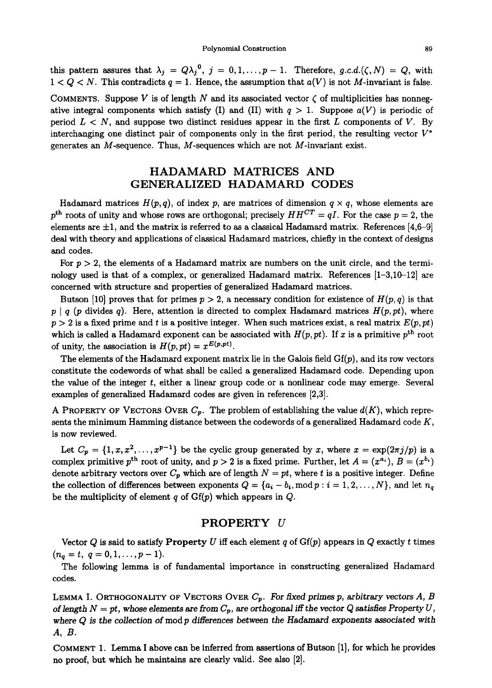this pattern assures that  $\lambda_j = Q\lambda_j^0$ ,  $j = 0, 1, ..., p-1$ . Therefore, g.c.d. $(\zeta, N) = Q$ , with  $1 < Q < N$ . This contradicts  $q = 1$ . Hence, the assumption that  $a(V)$  is not M-invariant is false.

COMMENTS. Suppose V is of length N and its associated vector  $\zeta$  of multiplicities has nonnegative integral components which satisfy (I) and (II) with  $q > 1$ . Suppose  $a(V)$  is periodic of period  $L < N$ , and suppose two distinct residues appear in the first L components of V. By interchanging one distinct pair of components only in the first period, the resulting vector  $V^*$ generates an  $M$ -sequence. Thus,  $M$ -sequences which are not  $M$ -invariant exist.

## **HADAMARD MATRICES AND**  GENERALIZED HADAMARD CODES

Hadamard matrices  $H(p,q)$ , of index p, are matrices of dimension  $q \times q$ , whose elements are  $p<sup>th</sup>$  roots of unity and whose rows are orthogonal; precisely  $HH<sup>CT</sup> = qI$ . For the case  $p = 2$ , the elements are  $\pm 1$ , and the matrix is referred to as a classical Hadamard matrix. References [4,6-9] deal with theory and applications of classical Hadamard matrices, chiefly in the context of designs and codes.

For  $p > 2$ , the elements of a Hadamard matrix are numbers on the unit circle, and the terminology used is that of a complex, or generalized Hadamard matrix. References [1-3,10-12] are concerned with structure and properties of generalized Hadamard matrices.

Butson [10] proves that for primes  $p > 2$ , a necessary condition for existence of  $H(p,q)$  is that  $p \mid q$  (p divides q). Here, attention is directed to complex Hadamard matrices  $H(p, pt)$ , where  $p > 2$  is a fixed prime and t is a positive integer. When such matrices exist, a real matrix  $E(p, pt)$ which is called a Hadamard exponent can be associated with  $H(p, pt)$ . If x is a primitive  $p<sup>th</sup>$  root of unity, the association is  $H(p, pt) = x^{E(p, pt)}$ .

The elements of the Hadamard exponent matrix lie in the Galois field  $Gf(p)$ , and its row vectors constitute the codewords of what shall be called a generalized Hadamard code. Depending upon the value of the integer t, either a linear group code or a nonlinear code may emerge. Several examples of generalized Hadamard codes are given in references [2,3].

A PROPERTY OF VECTORS OVER  $C_p$ . The problem of establishing the value  $d(K)$ , which represents the minimum Hamming distance between the codewords of a generalized Hadamard code  $K$ , is now reviewed.

Let  $C_p = \{1, x, x^2, \ldots, x^{p-1}\}$  be the cyclic group generated by x, where  $x = \exp(2\pi j/p)$  is a complex primitive p<sup>th</sup> root of unity, and  $p > 2$  is a fixed prime. Further, let  $A = (x^{a_i})$ ,  $B = (x^{b_i})$ denote arbitrary vectors over  $C_p$  which are of length  $N = pt$ , where t is a positive integer. Define the collection of differences between exponents  $Q = \{a_i - b_i, \text{mod } p : i = 1, 2, ..., N\}$ , and let  $n_q$ be the multiplicity of element q of  $Gf(p)$  which appears in  $Q$ .

## PROPERTY **U**

Vector Q is said to satisfy Property U iff each element q of  $Gf(p)$  appears in Q exactly t times  $(n_q = t, q = 0, 1, \ldots, p-1).$ 

The following lemma is of fundamental importance in constructing generalized Hadamard codes.

LEMMA I. ORTHOGONALITY OF VECTORS OVER *Cp. For fixed primes p, arbitrary* vectors A, B of length  $N = pt$ , whose elements are from  $C_p$ , are orthogonal iff the vector Q satisfies Property U, where Q is the collection of mod *p* differences between the Hadamard exponents associated with *A, B.* 

COMMENT 1. Lemma I above can be inferred from assertions of Butson [1], for which he provides no proof, but which he maintains are clearly valid. See also [2].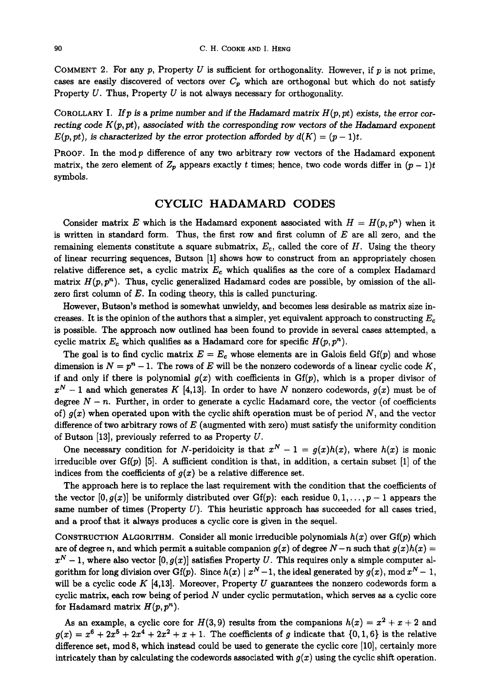COMMENT 2. For any  $p$ , Property U is sufficient for orthogonality. However, if  $p$  is not prime, cases are easily discovered of vectors over  $C_p$  which are orthogonal but which do not satisfy Property  $U$ . Thus, Property  $U$  is not always necessary for orthogonality.

COROLLARY I. If p is a prime number and if the *Hadamard matrix*  $H(p, pt)$  *exists, the error correcting code*  $K(p, pt)$ *, associated with the corresponding row vectors of the Hadamard exponent*  $E(p, pt)$ , is characterized by the error protection afforded by  $d(K) = (p-1)t$ .

PROOF. In the modp difference of any two arbitrary row vectors of the Hadamard exponent matrix, the zero element of  $Z_p$  appears exactly t times; hence, two code words differ in  $(p-1)t$ symbols.

#### **CYCLIC HADAMARD CODES**

Consider matrix E which is the Hadamard exponent associated with  $H = H(p, p^n)$  when it is written in standard form. Thus, the first row and first column of  $E$  are all zero, and the remaining elements constitute a square submatrix,  $E_c$ , called the core of H. Using the theory of linear recurring sequences, Butson [1] shows how to construct from an appropriately chosen relative difference set, a cyclic matrix  $E_c$  which qualifies as the core of a complex Hadamard matrix  $H(p, p^n)$ . Thus, cyclic generalized Hadamard codes are possible, by omission of the allzero first column of  $E$ . In coding theory, this is called puncturing.

However, Butson's method is somewhat unwieldy, and becomes less desirable as matrix size increases. It is the opinion of the authors that a simpler, yet equivalent approach to constructing  $E_c$ is possible. The approach now outlined has been found to provide in several cases attempted, a cyclic matrix  $E_c$  which qualifies as a Hadamard core for specific  $H(p, p^n)$ .

The goal is to find cyclic matrix  $E = E_c$  whose elements are in Galois field  $Gf(p)$  and whose dimension is  $N = p^{n} - 1$ . The rows of E will be the nonzero codewords of a linear cyclic code K, if and only if there is polynomial  $g(x)$  with coefficients in  $Gf(p)$ , which is a proper divisor of  $x^N - 1$  and which generates K [4,13]. In order to have N nonzero codewords,  $g(x)$  must be of degree  $N - n$ . Further, in order to generate a cyclic Hadamard core, the vector (of coefficients of)  $g(x)$  when operated upon with the cyclic shift operation must be of period N, and the vector difference of two arbitrary rows of  $E$  (augmented with zero) must satisfy the uniformity condition of Butson [13], previously referred to as Property U.

One necessary condition for N-peridoicity is that  $x^N - 1 = g(x)h(x)$ , where  $h(x)$  is monic irreducible over  $Gf(p)$  [5]. A sufficient condition is that, in addition, a certain subset [1] of the indices from the coefficients of  $g(x)$  be a relative difference set.

The approach here is to replace the last requirement with the condition that the coefficients of the vector  $[0,g(x)]$  be uniformly distributed over Gf(p): each residue  $0,1,\ldots,p-1$  appears the same number of times (Property  $U$ ). This heuristic approach has succeeded for all cases tried, and a proof that it always produces a cyclic core is given in the sequel.

CONSTRUCTION ALGORITHM. Consider all monic irreducible polynomials *h(x)* over Gf(p) which are of degree n, and which permit a suitable companion  $g(x)$  of degree  $N-n$  such that  $g(x)h(x) =$  $x^N - 1$ , where also vector  $[0, g(x)]$  satisfies Property U. This requires only a simple computer algorithm for long division over Gf(p). Since  $h(x) | x^N - 1$ , the ideal generated by  $g(x)$ , mod  $x^N - 1$ , will be a cyclic code  $K$  [4,13]. Moreover, Property U guarantees the nonzero codewords form a cyclic matrix, each row being of period  $N$  under cyclic permutation, which serves as a cyclic core for Hadamard matrix  $H(p, p^n)$ .

As an example, a cyclic core for  $H(3,9)$  results from the companions  $h(x) = x^2 + x + 2$  and  $g(x) = x^6 + 2x^5 + 2x^4 + 2x^2 + x + 1$ . The coefficients of g indicate that  $\{0, 1, 6\}$  is the relative difference set, mod 8, which instead could be used to generate the cyclic core [10], certainly more intricately than by calculating the codewords associated with  $g(x)$  using the cyclic shift operation.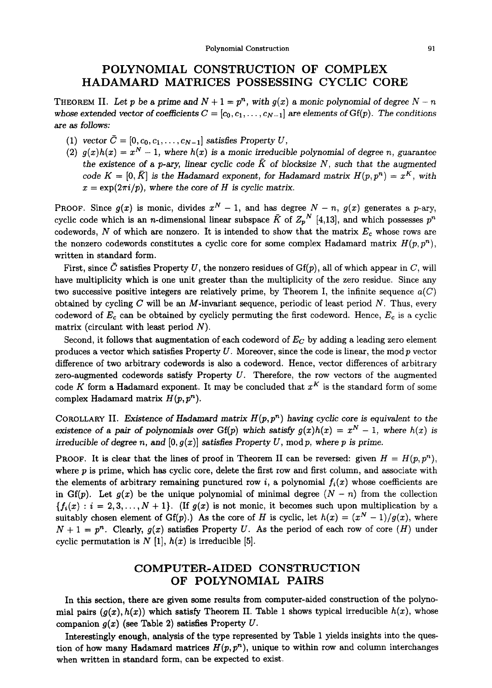## **POLYNOMIAL CONSTRUCTION OF COMPLEX HADAMARD MATRICES POSSESSING CYCLIC CORE**

THEOREM II. Let p be a prime and  $N + 1 = p<sup>n</sup>$ , with  $g(x)$  a monic polynomial of degree  $N - n$ *whose extended vector of coefficients*  $C = [c_0, c_1, \ldots, c_{N-1}]$  *are elements of*  $Gf(p)$ *. The conditions are as follows:* 

- (1) *vector*  $\bar{C} = [0, c_0, c_1, \ldots, c_{N-1}]$  *satisfies Property U,*
- (2)  $g(x)h(x) = x^N 1$ , where  $h(x)$  is a monic irreducible polynomial of degree n, guarantee the existence of a p-ary, linear cyclic code  $\bar{K}$  of blocksize N, such that the augmented *code*  $K = [0,\bar{K}]$  *is the Hadamard exponent, for Hadamard matrix*  $H(p,p^n) = x^K$ *, with*  $x = \exp(2\pi i/p)$ , where the core of *H* is cyclic matrix.

**PROOF.** Since  $g(x)$  is monic, divides  $x^N - 1$ , and has degree  $N - n$ ,  $g(x)$  generates a p-ary, cyclic code which is an *n*-dimensional linear subspace  $\bar{K}$  of  $Z_p$ <sup>N</sup> [4,13], and which possesses  $p^n$ codewords, N of which are nonzero. It is intended to show that the matrix  $E_c$  whose rows are the nonzero codewords constitutes a cyclic core for some complex Hadamard matrix  $H(p, p^n)$ , written in standard form.

First, since  $\bar{C}$  satisfies Property U, the nonzero residues of Gf(p), all of which appear in C, will have multiplicity which is one unit greater than the multiplicity of the zero residue. Since any two successive positive integers are relatively prime, by Theorem I, the infinite sequence *a(C)*  obtained by cycling  $C$  will be an  $M$ -invariant sequence, periodic of least period  $N$ . Thus, every codeword of  $E_c$  can be obtained by cyclicly permuting the first codeword. Hence,  $E_c$  is a cyclic matrix (circulant with least period  $N$ ).

Second, it follows that augmentation of each codeword of  $E_C$  by adding a leading zero element produces a vector which satisfies Property  $U$ . Moreover, since the code is linear, the mod p vector difference of two arbitrary codewords is also a codeword. Hence, vector differences of arbitrary zero-augmented codewords satisfy Property  $U$ . Therefore, the row vectors of the augmented code K form a Hadamard exponent. It may be concluded that  $x<sup>K</sup>$  is the standard form of some complex Hadamard matrix *H(p, pn).* 

COROLLARY II. *Existence of Hadamard matrix*  $H(p, p^n)$  *having cyclic core is equivalent to the* existence of a pair of polynomials over  $Gf(p)$  which satisfy  $g(x)h(x) = x^N - 1$ , where  $h(x)$  is *irreducible of degree n, and*  $[0, g(x)]$  *satisfies Property U, mod p, where p is prime.* 

**PROOF.** It is clear that the lines of proof in Theorem II can be reversed: given  $H = H(p, p<sup>n</sup>)$ , where  $p$  is prime, which has cyclic core, delete the first row and first column, and associate with the elements of arbitrary remaining punctured row i, a polynomial  $f_i(x)$  whose coefficients are in Gf(p). Let  $g(x)$  be the unique polynomial of minimal degree  $(N - n)$  from the collection  ${f<sub>i</sub>(x) : i = 2, 3, ..., N + 1}.$  (If  $g(x)$  is not monic, it becomes such upon multiplication by a suitably chosen element of Gf(p).) As the core of H is cyclic, let  $h(x) = (x^N - 1)/g(x)$ , where  $N + 1 = p<sup>n</sup>$ . Clearly,  $g(x)$  satisfies Property U. As the period of each row of core (H) under cyclic permutation is  $N$  [1],  $h(x)$  is irreducible [5].

## **COMPUTER-AIDED CONSTRUCTION OF POLYNOMIAL PAIRS**

In this section, there are given some results from computer-aided construction of the polynomial pairs  $(g(x), h(x))$  which satisfy Theorem II. Table 1 shows typical irreducible  $h(x)$ , whose companion  $g(x)$  (see Table 2) satisfies Property U.

Interestingly enough, analysis of the type represented by Table 1 yields insights into the question of how many Hadamard matrices  $H(p, p^n)$ , unique to within row and column interchanges when written in standard form, can be expected to exist.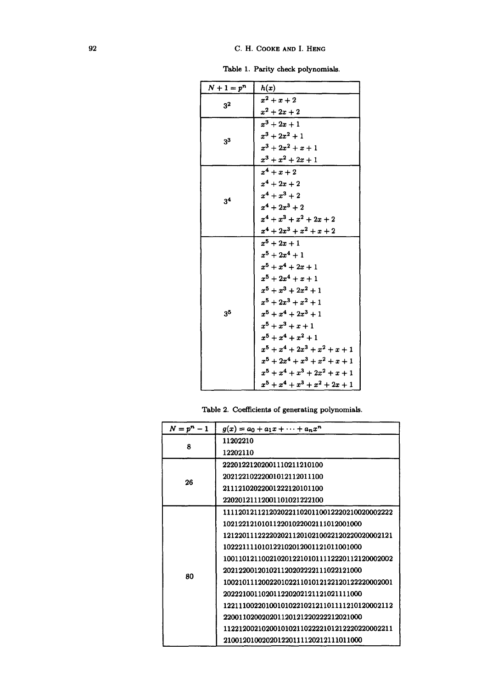Table 1. Parity check polynomials.

| $N+1=p^n$      | h(x)                             |
|----------------|----------------------------------|
| 3 <sup>2</sup> | $x^2+x+2$                        |
|                | $x^2 + 2x + 2$                   |
| $3^3$          | $x^3 + 2x + 1$                   |
|                | $x^3 + 2x^2 + 1$                 |
|                | $x^3 + 2x^2 + x + 1$             |
|                | $x^3 + x^2 + 2x + 1$             |
| 3 <sup>4</sup> | $x^4 + x + 2$                    |
|                | $x^4 + 2x + 2$                   |
|                | $x^4+x^3+2$                      |
|                | $x^4+2x^3+2$                     |
|                | $x^4 + x^3 + x^2 + 2x + 2$       |
|                | $x^4 + 2x^3 + x^2 + x + 2$       |
|                | $x^5 + 2x + 1$                   |
|                | $x^5 + 2x^4 + 1$                 |
| 3 <sup>5</sup> | $x^5 + x^4 + 2x + 1$             |
|                | $x^5 + 2x^4 + x + 1$             |
|                | $x^5 + x^3 + 2x^2 + 1$           |
|                | $x^5 + 2x^3 + x^2 + 1$           |
|                | $x^5 + x^4 + 2x^3 + 1$           |
|                | $x^5 + x^3 + x + 1$              |
|                | $x^5 + x^4 + x^2 + 1$            |
|                | $x^5 + x^4 + 2x^3 + x^2 + x + 1$ |
|                | $x^5 + 2x^4 + x^3 + x^2 + x + 1$ |
|                | $x^5 + x^4 + x^3 + 2x^2 + x + 1$ |
|                | $x^5 + x^4 + x^3 + x^2 + 2x + 1$ |

Table 2. Coefficients of generating polynomials.

| $N=p^n-1$ | $g(x) = a_0 + a_1x + \cdots + a_nx^n$        |
|-----------|----------------------------------------------|
| 8         | 11202210                                     |
|           | 12202110                                     |
| 26        | 22201221202001110211210100                   |
|           | 20212210222001012112011100                   |
|           | 21112102022001222120101100                   |
|           | 22020121112001101021222100                   |
| 80        | 11112012112120202211020110012220210020002222 |
|           | 102122121010112201022002111012001000         |
|           | 12122011122220202112010210022120220020002121 |
|           | 102221111010122102012001121011001000         |
|           |                                              |
|           | 202122001201021120202222111022121000         |
|           | 10021011120022010221101012122120122220002001 |
|           | 202221001102011220202121121021111000         |
|           | 12211100220100101022102121101111210120002112 |
|           | 220011020020201120121220222212021000         |
|           | 11221200210200101021102222101212220220002211 |
|           | 210012010020201220111120212111011000         |